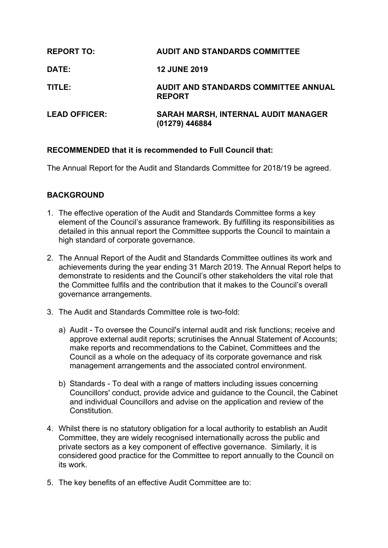| <b>REPORT TO:</b>    | <b>AUDIT AND STANDARDS COMMITTEE</b>                  |
|----------------------|-------------------------------------------------------|
| <b>DATE:</b>         | <b>12 JUNE 2019</b>                                   |
| TITLE:               | AUDIT AND STANDARDS COMMITTEE ANNUAL<br><b>REPORT</b> |
| <b>LEAD OFFICER:</b> | SARAH MARSH, INTERNAL AUDIT MANAGER<br>(01279) 446884 |

# **RECOMMENDED that it is recommended to Full Council that:**

The Annual Report for the Audit and Standards Committee for 2018/19 be agreed.

# **BACKGROUND**

- 1. The effective operation of the Audit and Standards Committee forms a key element of the Council's assurance framework. By fulfilling its responsibilities as detailed in this annual report the Committee supports the Council to maintain a high standard of corporate governance.
- 2. The Annual Report of the Audit and Standards Committee outlines its work and achievements during the year ending 31 March 2019. The Annual Report helps to demonstrate to residents and the Council's other stakeholders the vital role that the Committee fulfils and the contribution that it makes to the Council's overall governance arrangements.
- 3. The Audit and Standards Committee role is two-fold:
	- a) Audit To oversee the Council's internal audit and risk functions; receive and approve external audit reports; scrutinises the Annual Statement of Accounts; make reports and recommendations to the Cabinet, Committees and the Council as a whole on the adequacy of its corporate governance and risk management arrangements and the associated control environment.
	- b) Standards To deal with a range of matters including issues concerning Councillors' conduct, provide advice and guidance to the Council, the Cabinet and individual Councillors and advise on the application and review of the Constitution.
- 4. Whilst there is no statutory obligation for a local authority to establish an Audit Committee, they are widely recognised internationally across the public and private sectors as a key component of effective governance. Similarly, it is considered good practice for the Committee to report annually to the Council on its work.
- 5. The key benefits of an effective Audit Committee are to: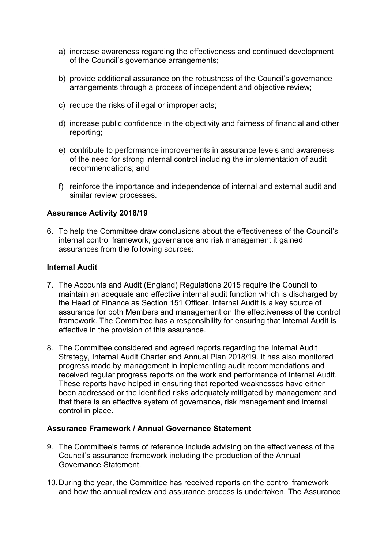- a) increase awareness regarding the effectiveness and continued development of the Council's governance arrangements;
- b) provide additional assurance on the robustness of the Council's governance arrangements through a process of independent and objective review;
- c) reduce the risks of illegal or improper acts;
- d) increase public confidence in the objectivity and fairness of financial and other reporting;
- e) contribute to performance improvements in assurance levels and awareness of the need for strong internal control including the implementation of audit recommendations; and
- f) reinforce the importance and independence of internal and external audit and similar review processes.

#### **Assurance Activity 2018/19**

6. To help the Committee draw conclusions about the effectiveness of the Council's internal control framework, governance and risk management it gained assurances from the following sources:

#### **Internal Audit**

- 7. The Accounts and Audit (England) Regulations 2015 require the Council to maintain an adequate and effective internal audit function which is discharged by the Head of Finance as Section 151 Officer. Internal Audit is a key source of assurance for both Members and management on the effectiveness of the control framework. The Committee has a responsibility for ensuring that Internal Audit is effective in the provision of this assurance.
- 8. The Committee considered and agreed reports regarding the Internal Audit Strategy, Internal Audit Charter and Annual Plan 2018/19. It has also monitored progress made by management in implementing audit recommendations and received regular progress reports on the work and performance of Internal Audit. These reports have helped in ensuring that reported weaknesses have either been addressed or the identified risks adequately mitigated by management and that there is an effective system of governance, risk management and internal control in place.

### **Assurance Framework / Annual Governance Statement**

- 9. The Committee's terms of reference include advising on the effectiveness of the Council's assurance framework including the production of the Annual Governance Statement.
- 10.During the year, the Committee has received reports on the control framework and how the annual review and assurance process is undertaken. The Assurance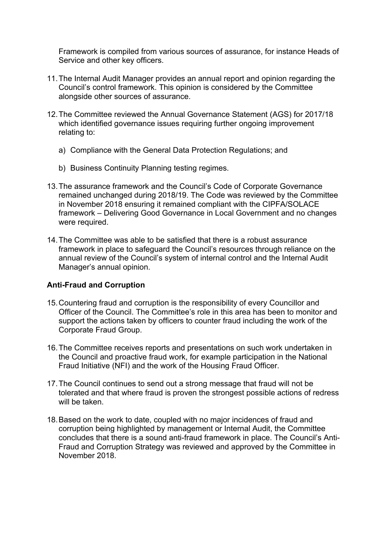Framework is compiled from various sources of assurance, for instance Heads of Service and other key officers.

- 11.The Internal Audit Manager provides an annual report and opinion regarding the Council's control framework. This opinion is considered by the Committee alongside other sources of assurance.
- 12.The Committee reviewed the Annual Governance Statement (AGS) for 2017/18 which identified governance issues requiring further ongoing improvement relating to:
	- a) Compliance with the General Data Protection Regulations; and
	- b) Business Continuity Planning testing regimes.
- 13.The assurance framework and the Council's Code of Corporate Governance remained unchanged during 2018/19. The Code was reviewed by the Committee in November 2018 ensuring it remained compliant with the CIPFA/SOLACE framework – Delivering Good Governance in Local Government and no changes were required.
- 14.The Committee was able to be satisfied that there is a robust assurance framework in place to safeguard the Council's resources through reliance on the annual review of the Council's system of internal control and the Internal Audit Manager's annual opinion.

### **Anti-Fraud and Corruption**

- 15.Countering fraud and corruption is the responsibility of every Councillor and Officer of the Council. The Committee's role in this area has been to monitor and support the actions taken by officers to counter fraud including the work of the Corporate Fraud Group.
- 16.The Committee receives reports and presentations on such work undertaken in the Council and proactive fraud work, for example participation in the National Fraud Initiative (NFI) and the work of the Housing Fraud Officer.
- 17.The Council continues to send out a strong message that fraud will not be tolerated and that where fraud is proven the strongest possible actions of redress will be taken.
- 18.Based on the work to date, coupled with no major incidences of fraud and corruption being highlighted by management or Internal Audit, the Committee concludes that there is a sound anti-fraud framework in place. The Council's Anti-Fraud and Corruption Strategy was reviewed and approved by the Committee in November 2018.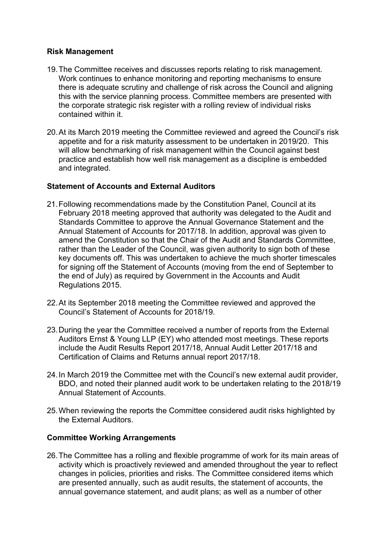## **Risk Management**

- 19.The Committee receives and discusses reports relating to risk management. Work continues to enhance monitoring and reporting mechanisms to ensure there is adequate scrutiny and challenge of risk across the Council and aligning this with the service planning process. Committee members are presented with the corporate strategic risk register with a rolling review of individual risks contained within it.
- 20.At its March 2019 meeting the Committee reviewed and agreed the Council's risk appetite and for a risk maturity assessment to be undertaken in 2019/20. This will allow benchmarking of risk management within the Council against best practice and establish how well risk management as a discipline is embedded and integrated.

## **Statement of Accounts and External Auditors**

- 21.Following recommendations made by the Constitution Panel, Council at its February 2018 meeting approved that authority was delegated to the Audit and Standards Committee to approve the Annual Governance Statement and the Annual Statement of Accounts for 2017/18. In addition, approval was given to amend the Constitution so that the Chair of the Audit and Standards Committee, rather than the Leader of the Council, was given authority to sign both of these key documents off. This was undertaken to achieve the much shorter timescales for signing off the Statement of Accounts (moving from the end of September to the end of July) as required by Government in the Accounts and Audit Regulations 2015.
- 22.At its September 2018 meeting the Committee reviewed and approved the Council's Statement of Accounts for 2018/19.
- 23.During the year the Committee received a number of reports from the External Auditors Ernst & Young LLP (EY) who attended most meetings. These reports include the Audit Results Report 2017/18, Annual Audit Letter 2017/18 and Certification of Claims and Returns annual report 2017/18.
- 24.In March 2019 the Committee met with the Council's new external audit provider, BDO, and noted their planned audit work to be undertaken relating to the 2018/19 Annual Statement of Accounts.
- 25.When reviewing the reports the Committee considered audit risks highlighted by the External Auditors.

### **Committee Working Arrangements**

26.The Committee has a rolling and flexible programme of work for its main areas of activity which is proactively reviewed and amended throughout the year to reflect changes in policies, priorities and risks. The Committee considered items which are presented annually, such as audit results, the statement of accounts, the annual governance statement, and audit plans; as well as a number of other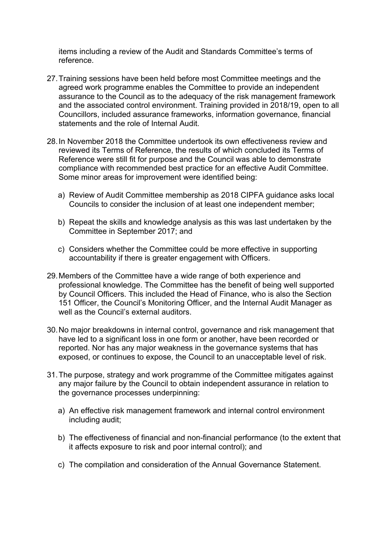items including a review of the Audit and Standards Committee's terms of reference.

- 27.Training sessions have been held before most Committee meetings and the agreed work programme enables the Committee to provide an independent assurance to the Council as to the adequacy of the risk management framework and the associated control environment. Training provided in 2018/19, open to all Councillors, included assurance frameworks, information governance, financial statements and the role of Internal Audit.
- 28.In November 2018 the Committee undertook its own effectiveness review and reviewed its Terms of Reference, the results of which concluded its Terms of Reference were still fit for purpose and the Council was able to demonstrate compliance with recommended best practice for an effective Audit Committee. Some minor areas for improvement were identified being:
	- a) Review of Audit Committee membership as 2018 CIPFA guidance asks local Councils to consider the inclusion of at least one independent member;
	- b) Repeat the skills and knowledge analysis as this was last undertaken by the Committee in September 2017; and
	- c) Considers whether the Committee could be more effective in supporting accountability if there is greater engagement with Officers.
- 29.Members of the Committee have a wide range of both experience and professional knowledge. The Committee has the benefit of being well supported by Council Officers. This included the Head of Finance, who is also the Section 151 Officer, the Council's Monitoring Officer, and the Internal Audit Manager as well as the Council's external auditors.
- 30.No major breakdowns in internal control, governance and risk management that have led to a significant loss in one form or another, have been recorded or reported. Nor has any major weakness in the governance systems that has exposed, or continues to expose, the Council to an unacceptable level of risk.
- 31.The purpose, strategy and work programme of the Committee mitigates against any major failure by the Council to obtain independent assurance in relation to the governance processes underpinning:
	- a) An effective risk management framework and internal control environment including audit;
	- b) The effectiveness of financial and non-financial performance (to the extent that it affects exposure to risk and poor internal control); and
	- c) The compilation and consideration of the Annual Governance Statement.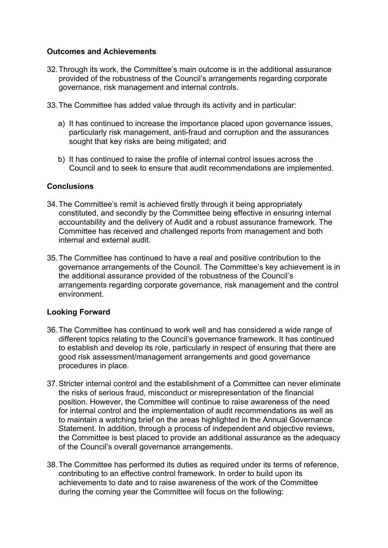## **Outcomes and Achievements**

- 32.Through its work, the Committee's main outcome is in the additional assurance provided of the robustness of the Council's arrangements regarding corporate governance, risk management and internal controls.
- 33.The Committee has added value through its activity and in particular:
	- a) It has continued to increase the importance placed upon governance issues, particularly risk management, anti-fraud and corruption and the assurances sought that key risks are being mitigated; and
	- b) It has continued to raise the profile of internal control issues across the Council and to seek to ensure that audit recommendations are implemented.

### **Conclusions**

- 34.The Committee's remit is achieved firstly through it being appropriately constituted, and secondly by the Committee being effective in ensuring internal accountability and the delivery of Audit and a robust assurance framework. The Committee has received and challenged reports from management and both internal and external audit.
- 35.The Committee has continued to have a real and positive contribution to the governance arrangements of the Council. The Committee's key achievement is in the additional assurance provided of the robustness of the Council's arrangements regarding corporate governance, risk management and the control environment.

### **Looking Forward**

- 36.The Committee has continued to work well and has considered a wide range of different topics relating to the Council's governance framework. It has continued to establish and develop its role, particularly in respect of ensuring that there are good risk assessment/management arrangements and good governance procedures in place.
- 37.Stricter internal control and the establishment of a Committee can never eliminate the risks of serious fraud, misconduct or misrepresentation of the financial position. However, the Committee will continue to raise awareness of the need for internal control and the implementation of audit recommendations as well as to maintain a watching brief on the areas highlighted in the Annual Governance Statement. In addition, through a process of independent and objective reviews, the Committee is best placed to provide an additional assurance as the adequacy of the Council's overall governance arrangements.
- 38.The Committee has performed its duties as required under its terms of reference, contributing to an effective control framework. In order to build upon its achievements to date and to raise awareness of the work of the Committee during the coming year the Committee will focus on the following: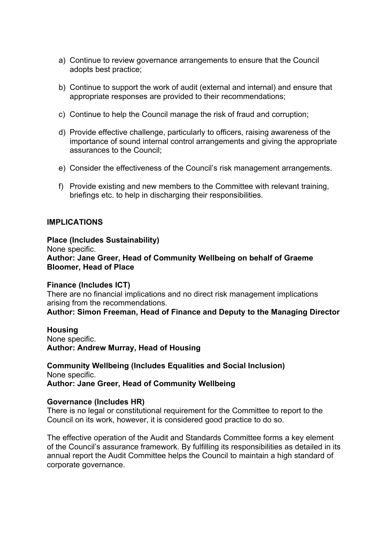- a) Continue to review governance arrangements to ensure that the Council adopts best practice;
- b) Continue to support the work of audit (external and internal) and ensure that appropriate responses are provided to their recommendations;
- c) Continue to help the Council manage the risk of fraud and corruption;
- d) Provide effective challenge, particularly to officers, raising awareness of the importance of sound internal control arrangements and giving the appropriate assurances to the Council;
- e) Consider the effectiveness of the Council's risk management arrangements.
- f) Provide existing and new members to the Committee with relevant training, briefings etc. to help in discharging their responsibilities.

#### **IMPLICATIONS**

#### **Place (Includes Sustainability)** None specific. **Author: Jane Greer, Head of Community Wellbeing on behalf of Graeme Bloomer, Head of Place**

**Finance (Includes ICT)** There are no financial implications and no direct risk management implications arising from the recommendations.

**Author: Simon Freeman, Head of Finance and Deputy to the Managing Director**

**Housing** None specific. **Author: Andrew Murray, Head of Housing**

**Community Wellbeing (Includes Equalities and Social Inclusion)** None specific. **Author: Jane Greer, Head of Community Wellbeing**

#### **Governance (Includes HR)**

There is no legal or constitutional requirement for the Committee to report to the Council on its work, however, it is considered good practice to do so.

The effective operation of the Audit and Standards Committee forms a key element of the Council's assurance framework. By fulfilling its responsibilities as detailed in its annual report the Audit Committee helps the Council to maintain a high standard of corporate governance.